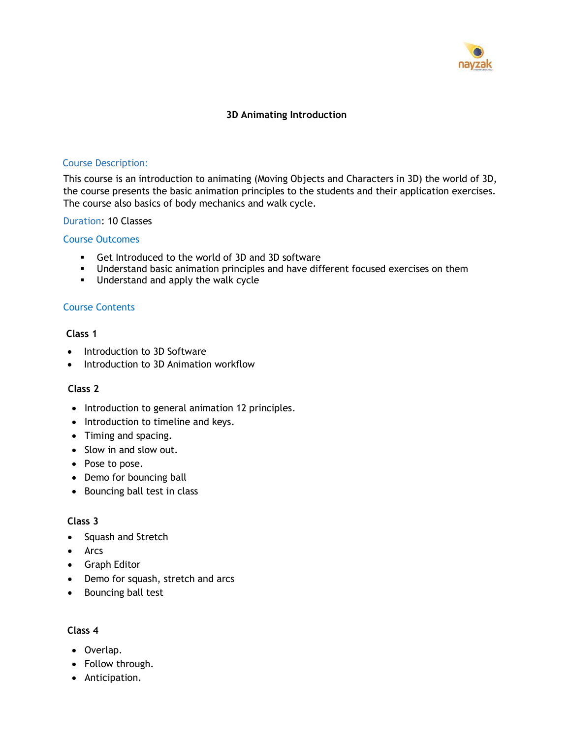

## **3D Animating Introduction**

#### Course Description:

This course is an introduction to animating (Moving Objects and Characters in 3D) the world of 3D, the course presents the basic animation principles to the students and their application exercises. The course also basics of body mechanics and walk cycle.

#### Duration: 10 Classes

### Course Outcomes

- Get Introduced to the world of 3D and 3D software
- **EXEDER** Understand basic animation principles and have different focused exercises on them
- Understand and apply the walk cycle

### Course Contents

## **Class 1**

- Introduction to 3D Software
- Introduction to 3D Animation workflow

### **Class 2**

- Introduction to general animation 12 principles.
- Introduction to timeline and keys.
- Timing and spacing.
- Slow in and slow out.
- Pose to pose.
- Demo for bouncing ball
- Bouncing ball test in class

### **Class 3**

- Squash and Stretch
- Arcs
- Graph Editor
- Demo for squash, stretch and arcs
- Bouncing ball test

### **Class 4**

- Overlap.
- Follow through.
- Anticipation.